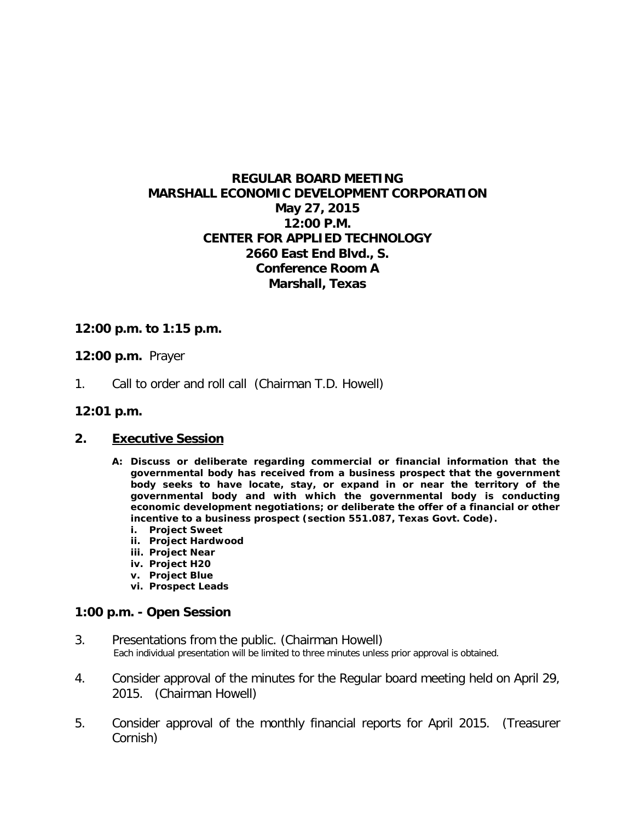# **REGULAR BOARD MEETING MARSHALL ECONOMIC DEVELOPMENT CORPORATION May 27, 2015 12:00 P.M. CENTER FOR APPLIED TECHNOLOGY 2660 East End Blvd., S. Conference Room A Marshall, Texas**

## **12:00 p.m. to 1:15 p.m.**

## **12:00 p.m.** Prayer

1. Call to order and roll call (Chairman T.D. Howell)

#### **12:01 p.m.**

## **2. Executive Session**

- **A: Discuss or deliberate regarding commercial or financial information that the governmental body has received from a business prospect that the government body seeks to have locate, stay, or expand in or near the territory of the governmental body and with which the governmental body is conducting economic development negotiations; or deliberate the offer of a financial or other incentive to a business prospect (section 551.087, Texas Govt. Code).**
	- **i. Project Sweet**
	- **ii. Project Hardwood**
	- **iii. Project Near**
	- **iv. Project H20**
	- **v. Project Blue**
	- **vi. Prospect Leads**

## **1:00 p.m. - Open Session**

- 3. Presentations from the public. (Chairman Howell) Each individual presentation will be limited to three minutes unless prior approval is obtained.
- 4. Consider approval of the minutes for the Regular board meeting held on April 29, 2015. (Chairman Howell)
- 5. Consider approval of the monthly financial reports for April 2015. (Treasurer Cornish)